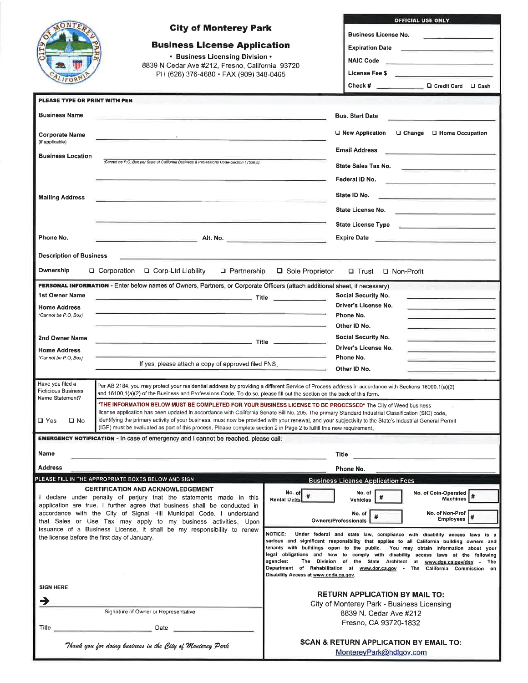|                                                           | <b>City of Monterey Park</b>                                                                                                                                                                                                                                        |                                       | OFFICIAL USE ONLY                                                                                                                                                                                                             |  |  |
|-----------------------------------------------------------|---------------------------------------------------------------------------------------------------------------------------------------------------------------------------------------------------------------------------------------------------------------------|---------------------------------------|-------------------------------------------------------------------------------------------------------------------------------------------------------------------------------------------------------------------------------|--|--|
|                                                           |                                                                                                                                                                                                                                                                     |                                       | <b>Business License No.</b>                                                                                                                                                                                                   |  |  |
|                                                           |                                                                                                                                                                                                                                                                     |                                       |                                                                                                                                                                                                                               |  |  |
|                                                           | <b>Business License Application</b>                                                                                                                                                                                                                                 |                                       | Expiration Date <u>_________________________</u>                                                                                                                                                                              |  |  |
|                                                           | • Business Licensing Division •                                                                                                                                                                                                                                     |                                       |                                                                                                                                                                                                                               |  |  |
|                                                           | 8839 N Cedar Ave #212, Fresno, California 93720<br>PH (626) 376-4680 · FAX (909) 348-0465                                                                                                                                                                           |                                       | License Fee \$ Production in the set of the set of the set of the set of the set of the set of the set of the s                                                                                                               |  |  |
|                                                           |                                                                                                                                                                                                                                                                     |                                       | Check # Check # Check # Check # Check # Check # Check # Check # Check # Check # Check # Check # Check # Check # Check # Check # Check # Check # Check # Check # Check # Check # Check # Check # Check # Check # Check # Check |  |  |
|                                                           |                                                                                                                                                                                                                                                                     |                                       |                                                                                                                                                                                                                               |  |  |
| PLEASE TYPE OR PRINT WITH PEN                             |                                                                                                                                                                                                                                                                     |                                       |                                                                                                                                                                                                                               |  |  |
| <b>Business Name</b>                                      | 이 사이에 대한 사이에 대한 사이에 대한 사이에 대한 사이에 대한 사이에 대한 사이에 대한 사이에 대한 사이에 대한 사이에 대한 사이에 대한 사이에 대한 사이에 대한 사이에 대한 사이에 대한 사이에                                                                                                                                                      |                                       | <b>Bus. Start Date</b>                                                                                                                                                                                                        |  |  |
|                                                           |                                                                                                                                                                                                                                                                     |                                       |                                                                                                                                                                                                                               |  |  |
| Corporate Name<br>(if applicable)                         |                                                                                                                                                                                                                                                                     |                                       | $\Box$ New Application<br>$\Box$ Change $\Box$ Home Occupation                                                                                                                                                                |  |  |
|                                                           |                                                                                                                                                                                                                                                                     |                                       | <b>Email Address</b><br><u> 1989 - Andrea Aonaich an Chomain an t-</u>                                                                                                                                                        |  |  |
| <b>Business Location</b>                                  | (Cannot be P.O. Box per State of California Business & Professions Code-Section 17538 5)                                                                                                                                                                            |                                       |                                                                                                                                                                                                                               |  |  |
|                                                           |                                                                                                                                                                                                                                                                     |                                       | State Sales Tax No.                                                                                                                                                                                                           |  |  |
|                                                           |                                                                                                                                                                                                                                                                     |                                       | Federal ID No.                                                                                                                                                                                                                |  |  |
|                                                           |                                                                                                                                                                                                                                                                     |                                       | State ID No.                                                                                                                                                                                                                  |  |  |
| <b>Mailing Address</b>                                    |                                                                                                                                                                                                                                                                     |                                       | the control of the control of the control of the control of the control of                                                                                                                                                    |  |  |
|                                                           |                                                                                                                                                                                                                                                                     |                                       | State License No.                                                                                                                                                                                                             |  |  |
|                                                           |                                                                                                                                                                                                                                                                     |                                       | State License Type <b>Andrew State License</b> Type                                                                                                                                                                           |  |  |
| Phone No.                                                 | $\blacksquare$ and $\blacksquare$ and $\blacksquare$ and $\blacksquare$ and $\blacksquare$ and $\blacksquare$ and $\blacksquare$ and $\blacksquare$ and $\blacksquare$ and $\blacksquare$                                                                           |                                       | Expire Date <b>Expire Date</b>                                                                                                                                                                                                |  |  |
|                                                           |                                                                                                                                                                                                                                                                     |                                       |                                                                                                                                                                                                                               |  |  |
| <b>Description of Business</b>                            |                                                                                                                                                                                                                                                                     |                                       |                                                                                                                                                                                                                               |  |  |
| Ownership                                                 | □ Corporation<br>□ Corp-Ltd Liability<br>□ Partnership                                                                                                                                                                                                              | □ Sole Proprietor                     | □ Trust □ Non-Profit                                                                                                                                                                                                          |  |  |
|                                                           |                                                                                                                                                                                                                                                                     |                                       |                                                                                                                                                                                                                               |  |  |
|                                                           | PERSONAL INFORMATION - Enter below names of Owners, Partners, or Corporate Officers (attach additional sheet, if necessary)                                                                                                                                         |                                       |                                                                                                                                                                                                                               |  |  |
| 1st Owner Name                                            |                                                                                                                                                                                                                                                                     |                                       | Social Security No.                                                                                                                                                                                                           |  |  |
| <b>Home Address</b><br>(Cannot be P.O. Box)               |                                                                                                                                                                                                                                                                     |                                       | Driver's License No.                                                                                                                                                                                                          |  |  |
|                                                           |                                                                                                                                                                                                                                                                     |                                       | Phone No.<br>Other ID No.                                                                                                                                                                                                     |  |  |
|                                                           |                                                                                                                                                                                                                                                                     |                                       | Social Security No.                                                                                                                                                                                                           |  |  |
| 2nd Owner Name                                            |                                                                                                                                                                                                                                                                     |                                       | Driver's License No.                                                                                                                                                                                                          |  |  |
| <b>Home Address</b><br>(Cannot be P.O. Box)               |                                                                                                                                                                                                                                                                     |                                       | Phone No.                                                                                                                                                                                                                     |  |  |
|                                                           | If yes, please attach a copy of approved filed FNS.                                                                                                                                                                                                                 | $-$                                   | Other ID No.                                                                                                                                                                                                                  |  |  |
|                                                           |                                                                                                                                                                                                                                                                     |                                       |                                                                                                                                                                                                                               |  |  |
| Have you filed a<br><b>Ficticious Business</b>            | Per AB 2184, you may protect your residential address by providing a different Service of Process address in accordance with Sections 16000.1(a)(2)                                                                                                                 |                                       |                                                                                                                                                                                                                               |  |  |
| Name Statement?                                           | and 16100.1(a)(2) of the Business and Professions Code. To do so, please fill out the section on the back of this form.                                                                                                                                             |                                       |                                                                                                                                                                                                                               |  |  |
|                                                           | "THE INFORMATION BELOW MUST BE COMPLETED FOR YOUR BUSINESS LICENSE TO BE PROCESSED* The City of Weed business<br>license application has been updated in accordance with California Senate Bill No. 205. The primary Standard Industrial Classification (SIC) code. |                                       |                                                                                                                                                                                                                               |  |  |
| $\square$ Yes<br>$\square$ No                             | identifying the primary activity of your business, must now be provided with your renewal, and your subjectivity to the State's Industrial General Permit                                                                                                           |                                       |                                                                                                                                                                                                                               |  |  |
|                                                           | (IGP) must be evaluated as part of this process. Please complete section 2 in Page 2 to fulfill this new requirement,                                                                                                                                               |                                       |                                                                                                                                                                                                                               |  |  |
|                                                           | <b>EMERGENCY NOTIFICATION - In case of emergency and I cannot be reached, please call:</b>                                                                                                                                                                          |                                       |                                                                                                                                                                                                                               |  |  |
| Name                                                      | <u> 1950 - Johann John Stone, markin amerikan bisa di sebagai persebut dan persebut dan persebut dan persebut dan</u>                                                                                                                                               | Title                                 |                                                                                                                                                                                                                               |  |  |
| <b>Address</b>                                            |                                                                                                                                                                                                                                                                     |                                       | Phone No.                                                                                                                                                                                                                     |  |  |
|                                                           | PLEASE FILL IN THE APPROPRIATE BOXES BELOW AND SIGN                                                                                                                                                                                                                 |                                       | <b>Business License Application Fees</b>                                                                                                                                                                                      |  |  |
|                                                           | <b>CERTIFICATION AND ACKNOWLEDGEMENT</b>                                                                                                                                                                                                                            |                                       |                                                                                                                                                                                                                               |  |  |
|                                                           | I declare under penalty of perjury that the statements made in this                                                                                                                                                                                                 | No. of<br><b>Rental Units</b>         | No. of Coin-Operated  <br>No. of<br>Machines<br>Vehicles                                                                                                                                                                      |  |  |
|                                                           | application are true. I further agree that business shall be conducted in<br>accordance with the City of Signal Hill Municipal Code. I understand                                                                                                                   |                                       | No. of Non-Prof<br>No. of                                                                                                                                                                                                     |  |  |
|                                                           | that Sales or Use Tax may apply to my business activities. Upon                                                                                                                                                                                                     | Owners/Professionals                  | Employees #                                                                                                                                                                                                                   |  |  |
|                                                           | issuance of a Business License, it shall be my responsibility to renew                                                                                                                                                                                              | <b>NOTICE:</b>                        | Under federal and state law, compliance with disability access laws is a                                                                                                                                                      |  |  |
|                                                           | the license before the first day of January.                                                                                                                                                                                                                        |                                       | serious and significant responsibility that applies to all California building owners and                                                                                                                                     |  |  |
|                                                           |                                                                                                                                                                                                                                                                     |                                       | tenants with buildings open to the public. You may obtain information about your<br>legal obligations and how to comply with disability access laws at the following                                                          |  |  |
|                                                           |                                                                                                                                                                                                                                                                     | agencies:                             | The Division of the State Architect at www.dgs.ca.gov/dsa - The                                                                                                                                                               |  |  |
|                                                           |                                                                                                                                                                                                                                                                     | Disability Access at www.ccda.ca.gov. | Department of Rehabilitation at www.dor.ca.gov - The California Commission on                                                                                                                                                 |  |  |
| <b>SIGN HERE</b>                                          |                                                                                                                                                                                                                                                                     |                                       |                                                                                                                                                                                                                               |  |  |
|                                                           |                                                                                                                                                                                                                                                                     |                                       | <b>RETURN APPLICATION BY MAIL TO:</b>                                                                                                                                                                                         |  |  |
| →                                                         |                                                                                                                                                                                                                                                                     |                                       | City of Monterey Park - Business Licensing                                                                                                                                                                                    |  |  |
|                                                           | Signature of Owner or Representative                                                                                                                                                                                                                                |                                       | 8839 N. Cedar Ave #212                                                                                                                                                                                                        |  |  |
| Title                                                     |                                                                                                                                                                                                                                                                     |                                       | Fresno, CA 93720-1832                                                                                                                                                                                                         |  |  |
| <b>SCAN &amp; RETURN APPLICATION BY EMAIL TO:</b>         |                                                                                                                                                                                                                                                                     |                                       |                                                                                                                                                                                                                               |  |  |
| Thank you for doing business in the City of Monterey Park |                                                                                                                                                                                                                                                                     |                                       | MontereyPark@hdlgov.com                                                                                                                                                                                                       |  |  |
|                                                           |                                                                                                                                                                                                                                                                     |                                       |                                                                                                                                                                                                                               |  |  |